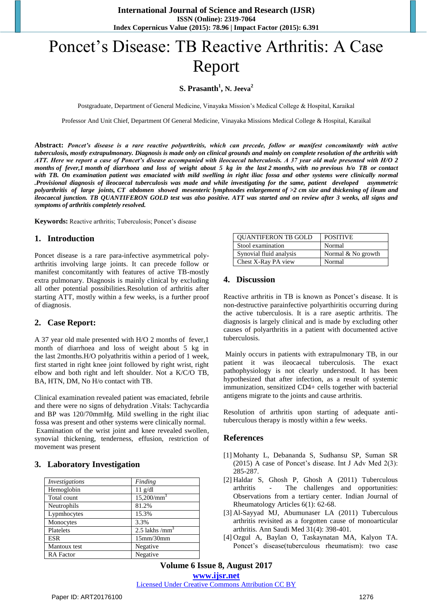# Poncet's Disease: TB Reactive Arthritis: A Case Report

## **S. Prasanth<sup>1</sup> , N. Jeeva<sup>2</sup>**

Postgraduate, Department of General Medicine, Vinayaka Mission's Medical College & Hospital, Karaikal

Professor And Unit Chief, Department Of General Medicine, Vinayaka Missions Medical College & Hospital, Karaikal

**Abstract:** *Poncet's disease is a rare reactive polyarthritis, which can precede, follow or manifest concomitantly with active tuberculosis, mostly extrapulmonary. Diagnosis is made only on clinical grounds and mainly on complete resolution of the arthritis with ATT. Here we report a case of Poncet's disease accompanied with ileocaecal tuberculosis. A 37 year old male presented with H/O 2 months of fever,1 month of diarrhoea and loss of weight about 5 kg in the last 2 months, with no previous h/o TB or contact*  with TB. On examination patient was emaciated with mild swelling in right iliac fossa and other systems were clinically normal *.Provisional diagnosis of ileocaecal tuberculosis was made and while investigating for the same, patient developed asymmetric polyarthritis of large joints, CT abdomen showed mesenteric lymphnodes enlargement of >2 cm size and thickening of ileum and ileocaecal junction. TB QUANTIFERON GOLD test was also positive. ATT was started and on review after 3 weeks, all signs and symptoms of arthritis completely resolved.*

**Keywords:** Reactive arthritis; Tuberculosis; Poncet's disease

### **1. Introduction**

Poncet disease is a rare para-infective asymmetrical polyarthritis involving large joints. It can precede follow or manifest concomitantly with features of active TB-mostly extra pulmonary. Diagnosis is mainly clinical by excluding all other potential possibilities.Resolution of arthritis after starting ATT, mostly within a few weeks, is a further proof of diagnosis.

### **2. Case Report:**

A 37 year old male presented with H/O 2 months of fever,1 month of diarrhoea and loss of weight about 5 kg in the last 2months.H/O polyathritis within a period of 1 week, first started in right knee joint followed by right wrist, right elbow and both right and left shoulder. Not a K/C/O TB, BA, HTN, DM, No H/o contact with TB.

Clinical examination revealed patient was emaciated, febrile and there were no signs of dehydration .Vitals: Tachycardia and BP was 120/70mmHg. Mild swelling in the right iliac fossa was present and other systems were clinically normal. Examination of the wrist joint and knee revealed swollen, synovial thickening, tenderness, effusion, restriction of movement was present

### **3. Laboratory Investigation**

| Investigations   | Finding          |
|------------------|------------------|
| Hemoglobin       | $11$ g/dl        |
| Total count      | $15,200/mm^3$    |
| Neutrophils      | 81.2%            |
| Lypmhocytes      | 15.3%            |
| Monocytes        | 3.3%             |
| Platelets        | 2.5 lakhs /mm    |
| ESR              | $15$ mm $/30$ mm |
| Mantoux test     | Negative         |
| <b>RA</b> Factor | Negative         |

| <b>OUANTIFERON TB GOLD</b> | <b>POSITIVE</b>    |
|----------------------------|--------------------|
| Stool examination          | Normal             |
| Synovial fluid analysis    | Normal & No growth |
| Chest X-Ray PA view        | Normal             |

### **4. Discussion**

Reactive arthritis in TB is known as Poncet's disease. It is non-destructive parainfective polyarthiritis occurring during the active tuberculosis. It is a rare aseptic arthritis. The diagnosis is largely clinical and is made by excluding other causes of polyarthritis in a patient with documented active tuberculosis.

Mainly occurs in patients with extrapulmonary TB, in our patient it was ileocaecal tuberculosis. The exact pathophysiology is not clearly understood. It has been hypothesized that after infection, as a result of systemic immunization, sensitized CD4+ cells together with bacterial antigens migrate to the joints and cause arthritis.

Resolution of arthritis upon starting of adequate antituberculous therapy is mostly within a few weeks.

### **References**

- [1] Mohanty L, Debananda S, Sudhansu SP, Suman SR (2015) A case of Poncet's disease. Int J Adv Med 2(3): 285-287.
- [2] Haldar S, Ghosh P, Ghosh A (2011) Tuberculous arthritis - The challenges and opportunities: Observations from a tertiary center. Indian Journal of Rheumatology Articles 6(1): 62-68.
- [3] Al-Sayyad MJ, Abumunaser LA (2011) Tuberculous arthritis revisited as a forgotten cause of monoarticular arthritis. Ann Saudi Med 31(4): 398-401.
- [4] Ozgul A, Baylan O, Taskaynatan MA, Kalyon TA. Poncet's disease(tuberculous rheumatism): two case